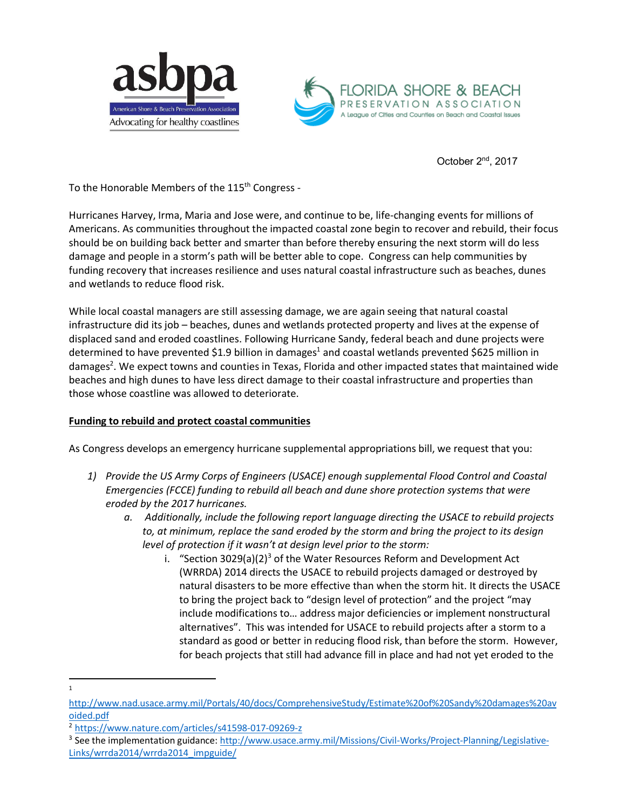



October 2nd, 2017

To the Honorable Members of the 115<sup>th</sup> Congress -

Hurricanes Harvey, Irma, Maria and Jose were, and continue to be, life-changing events for millions of Americans. As communities throughout the impacted coastal zone begin to recover and rebuild, their focus should be on building back better and smarter than before thereby ensuring the next storm will do less damage and people in a storm's path will be better able to cope. Congress can help communities by funding recovery that increases resilience and uses natural coastal infrastructure such as beaches, dunes and wetlands to reduce flood risk.

While local coastal managers are still assessing damage, we are again seeing that natural coastal infrastructure did its job – beaches, dunes and wetlands protected property and lives at the expense of displaced sand and eroded coastlines. Following Hurricane Sandy, federal beach and dune projects were determined to have prevented \$1.9 billion in damages<sup>1</sup> and coastal wetlands prevented \$625 million in damages<sup>2</sup>. We expect towns and counties in Texas, Florida and other impacted states that maintained wide beaches and high dunes to have less direct damage to their coastal infrastructure and properties than those whose coastline was allowed to deteriorate.

## **Funding to rebuild and protect coastal communities**

As Congress develops an emergency hurricane supplemental appropriations bill, we request that you:

- *1) Provide the US Army Corps of Engineers (USACE) enough supplemental Flood Control and Coastal Emergencies (FCCE) funding to rebuild all beach and dune shore protection systems that were eroded by the 2017 hurricanes.*
	- *a. Additionally, include the following report language directing the USACE to rebuild projects to, at minimum, replace the sand eroded by the storm and bring the project to its design level of protection if it wasn't at design level prior to the storm:*
		- i. "Section 3029(a)(2)<sup>3</sup> of the Water Resources Reform and Development Act (WRRDA) 2014 directs the USACE to rebuild projects damaged or destroyed by natural disasters to be more effective than when the storm hit. It directs the USACE to bring the project back to "design level of protection" and the project "may include modifications to… address major deficiencies or implement nonstructural alternatives". This was intended for USACE to rebuild projects after a storm to a standard as good or better in reducing flood risk, than before the storm. However, for beach projects that still had advance fill in place and had not yet eroded to the

 $\frac{1}{1}$  $\mathbf{1}$ 

http://www.nad.usace.army.mil/Portals/40/docs/ComprehensiveStudy/Estimate%20of%20Sandy%20damages%20av oided.pdf

<sup>2</sup> https://www.nature.com/articles/s41598-017-09269-z

<sup>&</sup>lt;sup>3</sup> See the implementation guidance: http://www.usace.army.mil/Missions/Civil-Works/Project-Planning/Legislative-Links/wrrda2014/wrrda2014\_impguide/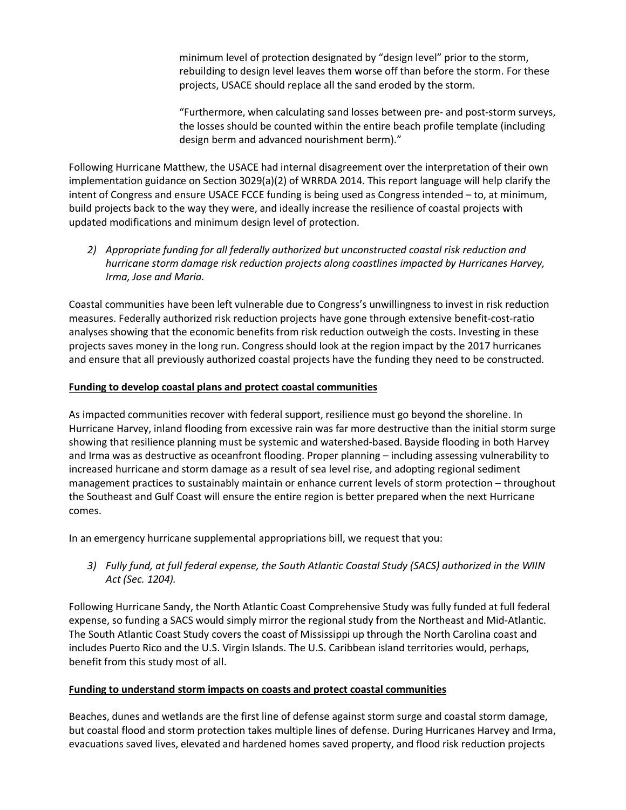minimum level of protection designated by "design level" prior to the storm, rebuilding to design level leaves them worse off than before the storm. For these projects, USACE should replace all the sand eroded by the storm.

"Furthermore, when calculating sand losses between pre- and post-storm surveys, the losses should be counted within the entire beach profile template (including design berm and advanced nourishment berm)."

Following Hurricane Matthew, the USACE had internal disagreement over the interpretation of their own implementation guidance on Section 3029(a)(2) of WRRDA 2014. This report language will help clarify the intent of Congress and ensure USACE FCCE funding is being used as Congress intended – to, at minimum, build projects back to the way they were, and ideally increase the resilience of coastal projects with updated modifications and minimum design level of protection.

*2) Appropriate funding for all federally authorized but unconstructed coastal risk reduction and hurricane storm damage risk reduction projects along coastlines impacted by Hurricanes Harvey, Irma, Jose and Maria.*

Coastal communities have been left vulnerable due to Congress's unwillingness to invest in risk reduction measures. Federally authorized risk reduction projects have gone through extensive benefit-cost-ratio analyses showing that the economic benefits from risk reduction outweigh the costs. Investing in these projects saves money in the long run. Congress should look at the region impact by the 2017 hurricanes and ensure that all previously authorized coastal projects have the funding they need to be constructed.

## **Funding to develop coastal plans and protect coastal communities**

As impacted communities recover with federal support, resilience must go beyond the shoreline. In Hurricane Harvey, inland flooding from excessive rain was far more destructive than the initial storm surge showing that resilience planning must be systemic and watershed-based. Bayside flooding in both Harvey and Irma was as destructive as oceanfront flooding. Proper planning – including assessing vulnerability to increased hurricane and storm damage as a result of sea level rise, and adopting regional sediment management practices to sustainably maintain or enhance current levels of storm protection – throughout the Southeast and Gulf Coast will ensure the entire region is better prepared when the next Hurricane comes.

In an emergency hurricane supplemental appropriations bill, we request that you:

*3) Fully fund, at full federal expense, the South Atlantic Coastal Study (SACS) authorized in the WIIN Act (Sec. 1204).*

Following Hurricane Sandy, the North Atlantic Coast Comprehensive Study was fully funded at full federal expense, so funding a SACS would simply mirror the regional study from the Northeast and Mid-Atlantic. The South Atlantic Coast Study covers the coast of Mississippi up through the North Carolina coast and includes Puerto Rico and the U.S. Virgin Islands. The U.S. Caribbean island territories would, perhaps, benefit from this study most of all.

## **Funding to understand storm impacts on coasts and protect coastal communities**

Beaches, dunes and wetlands are the first line of defense against storm surge and coastal storm damage, but coastal flood and storm protection takes multiple lines of defense. During Hurricanes Harvey and Irma, evacuations saved lives, elevated and hardened homes saved property, and flood risk reduction projects